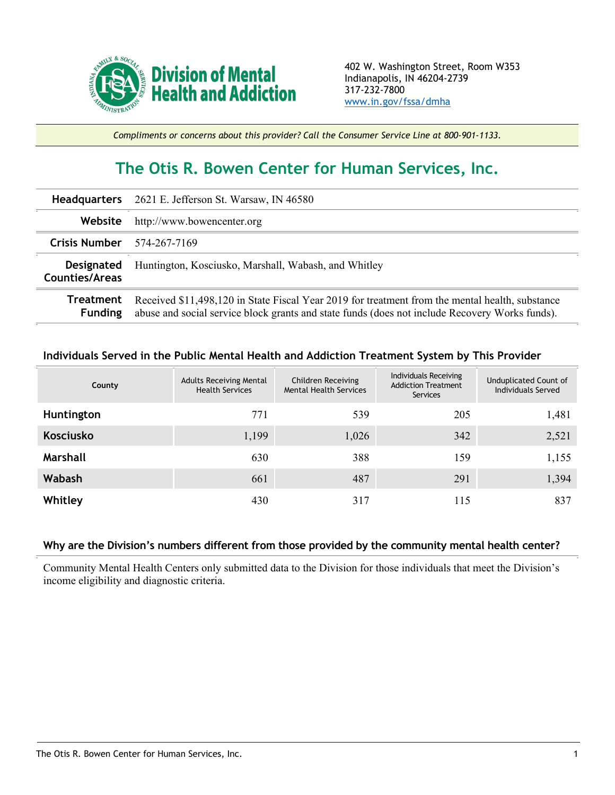

*Compliments or concerns about this provider? Call the Consumer Service Line at 800-901-1133.*

## **The Otis R. Bowen Center for Human Services, Inc.**

|                                     | <b>Headquarters</b> 2621 E. Jefferson St. Warsaw, IN 46580                                                                                                                                        |
|-------------------------------------|---------------------------------------------------------------------------------------------------------------------------------------------------------------------------------------------------|
| Website                             | http://www.bowencenter.org                                                                                                                                                                        |
| Crisis Number $574-267-7169$        |                                                                                                                                                                                                   |
| <b>Designated</b><br>Counties/Areas | Huntington, Kosciusko, Marshall, Wabash, and Whitley                                                                                                                                              |
| Treatment<br><b>Funding</b>         | Received \$11,498,120 in State Fiscal Year 2019 for treatment from the mental health, substance<br>abuse and social service block grants and state funds (does not include Recovery Works funds). |

## **Individuals Served in the Public Mental Health and Addiction Treatment System by This Provider**

| County           | <b>Adults Receiving Mental</b><br><b>Health Services</b> | Children Receiving<br><b>Mental Health Services</b> | Individuals Receiving<br><b>Addiction Treatment</b><br>Services | Unduplicated Count of<br>Individuals Served |
|------------------|----------------------------------------------------------|-----------------------------------------------------|-----------------------------------------------------------------|---------------------------------------------|
| Huntington       | 771                                                      | 539                                                 | 205                                                             | 1,481                                       |
| <b>Kosciusko</b> | 1,199                                                    | 1,026                                               | 342                                                             | 2,521                                       |
| Marshall         | 630                                                      | 388                                                 | 159                                                             | 1,155                                       |
| <b>Wabash</b>    | 661                                                      | 487                                                 | 291                                                             | 1,394                                       |
| Whitley          | 430                                                      | 317                                                 | 115                                                             | 837                                         |

## **Why are the Division's numbers different from those provided by the community mental health center?**

Community Mental Health Centers only submitted data to the Division for those individuals that meet the Division's income eligibility and diagnostic criteria.